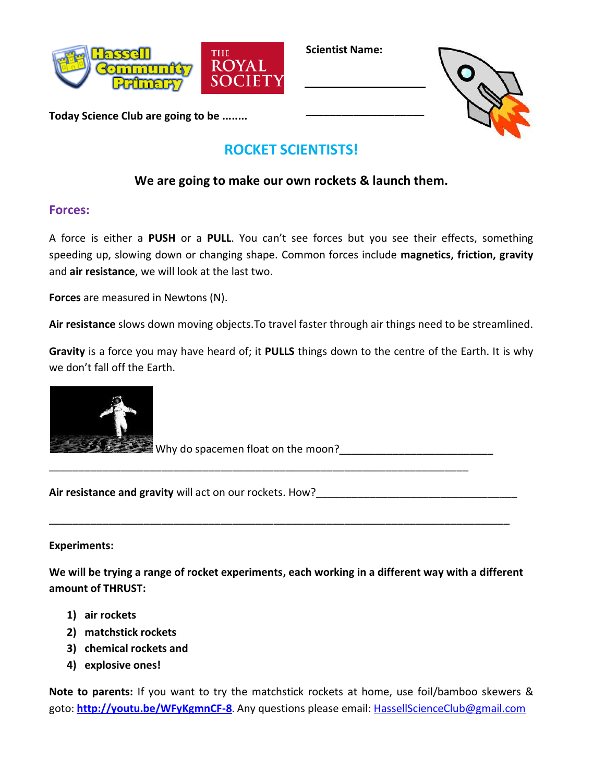

**Scientist Name:**

**\_\_\_\_\_\_\_\_\_\_\_\_\_\_\_\_\_\_\_\_**



**Today Science Club are going to be ........**

# **ROCKET SCIENTISTS!**

## **We are going to make our own rockets & launch them.**

## **Forces:**

A force is either a **PUSH** or a **PULL**. You can't see forces but you see their effects, something speeding up, slowing down or changing shape. Common forces include **magnetics, friction, gravity** and **air resistance**, we will look at the last two.

**Forces** are measured in Newtons (N).

**Air resistance** slows down moving objects.To travel faster through air things need to be streamlined.

**Gravity** is a force you may have heard of; it **PULLS** things down to the centre of the Earth. It is why we don't fall off the Earth.



Why do spacemen float on the moon?\_\_\_\_\_\_\_\_\_\_\_\_\_\_\_\_\_\_\_\_\_\_\_\_\_\_ \_\_\_\_\_\_\_\_\_\_\_\_\_\_\_\_\_\_\_\_\_\_\_\_\_\_\_\_\_\_\_\_\_\_\_\_\_\_\_\_\_\_\_\_\_\_\_\_\_\_\_\_\_\_\_\_\_\_\_\_\_\_\_\_\_\_\_\_\_\_\_

Air resistance and gravity will act on our rockets. How?

#### **Experiments:**

**We will be trying a range of rocket experiments, each working in a different way with a different amount of THRUST:**

\_\_\_\_\_\_\_\_\_\_\_\_\_\_\_\_\_\_\_\_\_\_\_\_\_\_\_\_\_\_\_\_\_\_\_\_\_\_\_\_\_\_\_\_\_\_\_\_\_\_\_\_\_\_\_\_\_\_\_\_\_\_\_\_\_\_\_\_\_\_\_\_\_\_\_\_\_\_

- **1) air rockets**
- **2) matchstick rockets**
- **3) chemical rockets and**
- **4) explosive ones!**

**Note to parents:** If you want to try the matchstick rockets at home, use foil/bamboo skewers & goto: **<http://youtu.be/WFyKgmnCF-8>**. Any questions please email: [HassellScienceClub@gmail.com](mailto:HassellScienceClub@gmail.com)